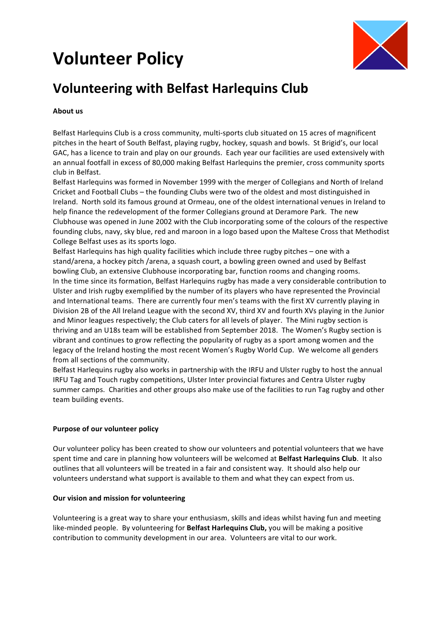# **Volunteer Policy**



# **Volunteering with Belfast Harlequins Club**

# **About** us

Belfast Harlequins Club is a cross community, multi-sports club situated on 15 acres of magnificent pitches in the heart of South Belfast, playing rugby, hockey, squash and bowls. St Brigid's, our local GAC, has a licence to train and play on our grounds. Each year our facilities are used extensively with an annual footfall in excess of 80,000 making Belfast Harlequins the premier, cross community sports club in Belfast.

Belfast Harlequins was formed in November 1999 with the merger of Collegians and North of Ireland Cricket and Football Clubs – the founding Clubs were two of the oldest and most distinguished in Ireland. North sold its famous ground at Ormeau, one of the oldest international venues in Ireland to help finance the redevelopment of the former Collegians ground at Deramore Park. The new Clubhouse was opened in June 2002 with the Club incorporating some of the colours of the respective founding clubs, navy, sky blue, red and maroon in a logo based upon the Maltese Cross that Methodist College Belfast uses as its sports logo.

Belfast Harlequins has high quality facilities which include three rugby pitches – one with a stand/arena, a hockey pitch /arena, a squash court, a bowling green owned and used by Belfast bowling Club, an extensive Clubhouse incorporating bar, function rooms and changing rooms. In the time since its formation, Belfast Harlequins rugby has made a very considerable contribution to Ulster and Irish rugby exemplified by the number of its players who have represented the Provincial and International teams. There are currently four men's teams with the first XV currently playing in Division 2B of the All Ireland League with the second XV, third XV and fourth XVs playing in the Junior and Minor leagues respectively; the Club caters for all levels of player. The Mini rugby section is thriving and an U18s team will be established from September 2018. The Women's Rugby section is vibrant and continues to grow reflecting the popularity of rugby as a sport among women and the legacy of the Ireland hosting the most recent Women's Rugby World Cup. We welcome all genders from all sections of the community.

Belfast Harlequins rugby also works in partnership with the IRFU and Ulster rugby to host the annual IRFU Tag and Touch rugby competitions, Ulster Inter provincial fixtures and Centra Ulster rugby summer camps. Charities and other groups also make use of the facilities to run Tag rugby and other team building events.

# **Purpose of our volunteer policy**

Our volunteer policy has been created to show our volunteers and potential volunteers that we have spent time and care in planning how volunteers will be welcomed at **Belfast Harlequins Club**. It also outlines that all volunteers will be treated in a fair and consistent way. It should also help our volunteers understand what support is available to them and what they can expect from us.

# **Our vision and mission for volunteering**

Volunteering is a great way to share your enthusiasm, skills and ideas whilst having fun and meeting like-minded people. By volunteering for **Belfast Harlequins Club,** you will be making a positive contribution to community development in our area. Volunteers are vital to our work.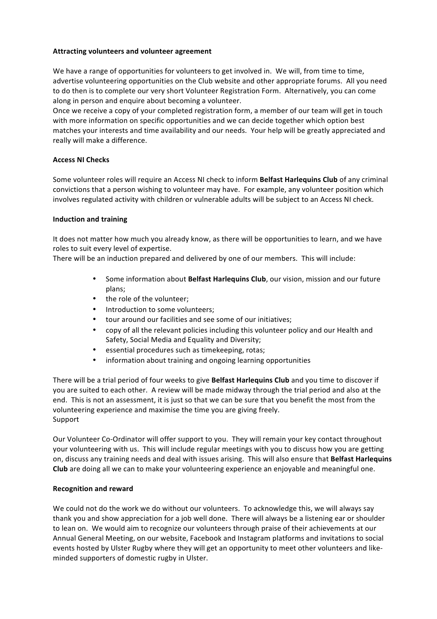#### **Attracting volunteers and volunteer agreement**

We have a range of opportunities for volunteers to get involved in. We will, from time to time, advertise volunteering opportunities on the Club website and other appropriate forums. All you need to do then is to complete our very short Volunteer Registration Form. Alternatively, you can come along in person and enquire about becoming a volunteer.

Once we receive a copy of your completed registration form, a member of our team will get in touch with more information on specific opportunities and we can decide together which option best matches your interests and time availability and our needs. Your help will be greatly appreciated and really will make a difference.

### **Access NI Checks**

Some volunteer roles will require an Access NI check to inform **Belfast Harlequins Club** of any criminal convictions that a person wishing to volunteer may have. For example, any volunteer position which involves regulated activity with children or vulnerable adults will be subject to an Access NI check.

#### **Induction and training**

It does not matter how much you already know, as there will be opportunities to learn, and we have roles to suit every level of expertise.

There will be an induction prepared and delivered by one of our members. This will include:

- Some information about **Belfast Harlequins Club**, our vision, mission and our future plans;
- the role of the volunteer;
- Introduction to some volunteers;
- tour around our facilities and see some of our initiatives:
- copy of all the relevant policies including this volunteer policy and our Health and Safety, Social Media and Equality and Diversity;
- essential procedures such as timekeeping, rotas;
- information about training and ongoing learning opportunities

There will be a trial period of four weeks to give **Belfast Harlequins Club** and you time to discover if you are suited to each other. A review will be made midway through the trial period and also at the end. This is not an assessment, it is just so that we can be sure that you benefit the most from the volunteering experience and maximise the time you are giving freely. Support

Our Volunteer Co-Ordinator will offer support to you. They will remain your key contact throughout your volunteering with us. This will include regular meetings with you to discuss how you are getting on, discuss any training needs and deal with issues arising. This will also ensure that Belfast Harlequins **Club** are doing all we can to make your volunteering experience an enjoyable and meaningful one.

#### **Recognition and reward**

We could not do the work we do without our volunteers. To acknowledge this, we will always say thank you and show appreciation for a job well done. There will always be a listening ear or shoulder to lean on. We would aim to recognize our volunteers through praise of their achievements at our Annual General Meeting, on our website, Facebook and Instagram platforms and invitations to social events hosted by Ulster Rugby where they will get an opportunity to meet other volunteers and likeminded supporters of domestic rugby in Ulster.